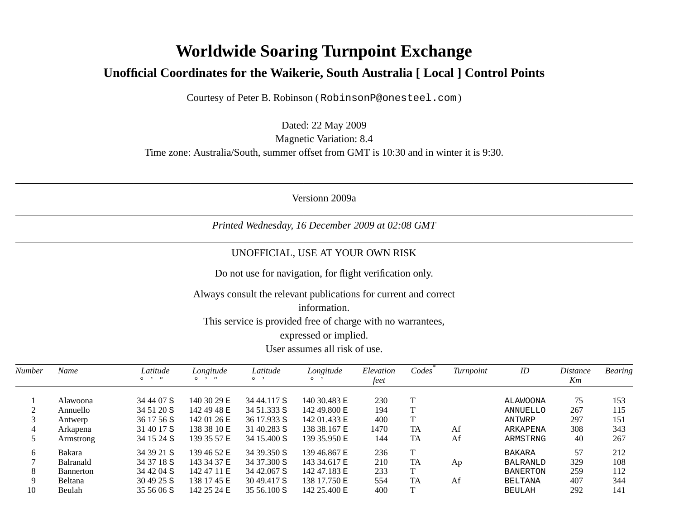## **Worldwide Soaring Turnpoint Exchange** Unofficial Coordinates for the Waikerie, South Australia [ Local ] Control Points

Courtesy of Peter B. Robinson (RobinsonP@onesteel.com)

Dated: 22 May 2009 **Magnetic Variation: 8.4** Time zone: Australia/South, summer offset from GMT is 10:30 and in winter it is 9:30.

Versionn 2009a

Printed Wednesday, 16 December 2009 at 02:08 GMT

## UNOFFICIAL, USE AT YOUR OWN RISK

Do not use for navigation, for flight verification only.

Always consult the relevant publications for current and correct

## information.

This service is provided free of charge with no warrantees,

## expressed or implied.

User assumes all risk of use.

| <b>Number</b> | Name             | Latitude<br>$0 \rightarrow H$ | Longitude<br>$^{\prime\prime}$<br>$\circ$ $\cdot$ | Latitude<br>$\circ$ , | Longitude<br>$\circ$ | Elevation | Codes     | Turnpoint | ID              | <i>Distance</i> | <b>Bearing</b> |
|---------------|------------------|-------------------------------|---------------------------------------------------|-----------------------|----------------------|-----------|-----------|-----------|-----------------|-----------------|----------------|
|               |                  |                               |                                                   |                       |                      | feet      |           |           |                 | Km              |                |
|               | Alawoona         | 34 44 07 S                    | 140 30 29 E                                       | 34 44.117 S           | 140 30.483 E         | 230       |           |           | ALAWOONA        | 75              | 153            |
|               | Annuello         | 34 51 20 S                    | 142 49 48 E                                       | 34 51.333 S           | 142 49.800 E         | 194       |           |           | ANNUELLO        | 267             | 115            |
|               | Antwerp          | 36 17 56 S                    | 142 01 26 E                                       | 36 17.933 S           | 142 01.433 E         | 400       |           |           | ANTWRP          | 297             | 151            |
| 4             | Arkapena         | 31 40 17 S                    | 138 38 10 E                                       | 31 40.283 S           | 138 38.167 E         | 1470      | TA        | Af        | ARKAPENA        | 308             | 343            |
|               | Armstrong        | 34 15 24 S                    | 139 35 57 E                                       | 34 15.400 S           | 139 35.950 E         | 144       | TA        | Af        | ARMSTRNG        | 40              | 267            |
| 6             | <b>Bakara</b>    | 34 39 21 S                    | 139 46 52 E                                       | 34 39.350 S           | 139 46.867 E         | 236       | T         |           | <b>BAKARA</b>   | 57              | 212            |
|               | <b>Balranald</b> | 34 37 18 S                    | 143 34 37 E                                       | 34 37.300 S           | 143 34.617 E         | 210       | TA        | Ap        | <b>BALRANLD</b> | 329             | 108            |
| 8             | <b>Bannerton</b> | 34 42 04 S                    | 142 47 11 E                                       | 34 42,067 S           | 142 47.183 E         | 233       | T         |           | <b>BANERTON</b> | 259             | 112            |
| 9             | <b>Beltana</b>   | $304925$ S                    | 138 17 45 E                                       | 3049.417 S            | 138 17.750 E         | 554       | <b>TA</b> | Af        | <b>BELTANA</b>  | 407             | 344            |
| 10            | Beulah           | 35 56 06 S                    | 142 25 24 E                                       | $3556.100$ S          | 142 25.400 E         | 400       | T.        |           | <b>BEULAH</b>   | 292             | 141            |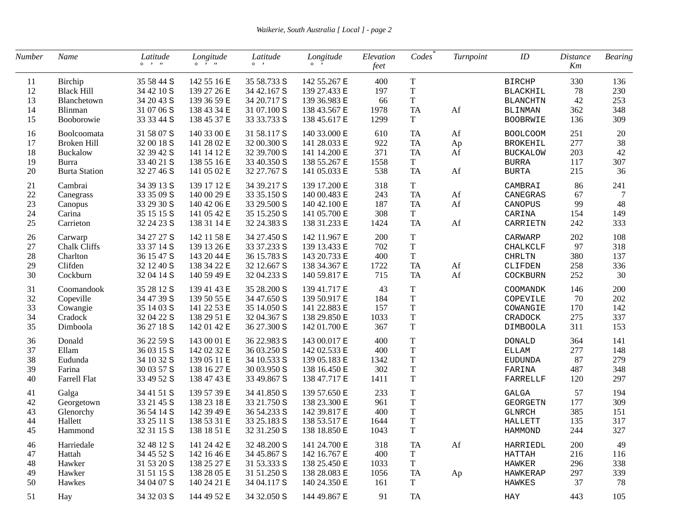| Number | Name                 | Latitude<br>$\circ \quad \cdot \quad n$ | Longitude<br>$\circ$ $\cdot$ $\cdot$ | Latitude<br>$\circ \cdot$ | Longitude<br>$\circ$ , | Elevation<br>feet | Codes       | Turnpoint | ID              | <b>Distance</b><br>Km | <b>Bearing</b> |
|--------|----------------------|-----------------------------------------|--------------------------------------|---------------------------|------------------------|-------------------|-------------|-----------|-----------------|-----------------------|----------------|
| 11     | Birchip              | 35 58 44 S                              | 142 55 16 E                          | 35 58.733 S               | 142 55.267 E           | 400               | $\mathbf T$ |           | <b>BIRCHP</b>   | 330                   | 136            |
| 12     | <b>Black Hill</b>    | 34 42 10 S                              | 139 27 26 E                          | 34 42.167 S               | 139 27.433 E           | 197               | $\mathbf T$ |           | <b>BLACKHIL</b> | 78                    | 230            |
| 13     | Blanchetown          | 34 20 43 S                              | 139 36 59 E                          | 34 20.717 S               | 139 36.983 E           | 66                | $\rm T$     |           | <b>BLANCHTN</b> | 42                    | 253            |
| 14     | Blinman              | 31 07 06 S                              | 138 43 34 E                          | 31 07.100 S               | 138 43.567 E           | 1978              | <b>TA</b>   | Af        | <b>BLINMAN</b>  | 362                   | 348            |
| 15     | Booborowie           | 33 33 44 S                              | 138 45 37 E                          | 33 33.733 S               | 138 45.617 E           | 1299              | T           |           | BOOBRWIE        | 136                   | 309            |
| 16     | Boolcoomata          | 31 58 07 S                              | 140 33 00 E                          | 31 58.117 S               | 140 33.000 E           | 610               | TA          | Af        | <b>BOOLCOOM</b> | 251                   | $20\,$         |
| 17     | Broken Hill          | 32 00 18 S                              | 141 28 02 E                          | 32 00.300 S               | 141 28.033 E           | 922               | TA          | Ap        | <b>BROKEHIL</b> | 277                   | 38             |
| 18     | <b>Buckalow</b>      | 32 39 42 S                              | 141 14 12 E                          | 32 39.700 S               | 141 14.200 E           | 371               | TA          | Af        | <b>BUCKALOW</b> | 203                   | 42             |
| 19     | <b>Burra</b>         | 33 40 21 S                              | 138 55 16 E                          | 33 40.350 S               | 138 55.267 E           | 1558              | $\mathbf T$ |           | <b>BURRA</b>    | 117                   | 307            |
| $20\,$ | <b>Burta Station</b> | 32 27 46 S                              | 141 05 02 E                          | 32 27.767 S               | 141 05.033 E           | 538               | <b>TA</b>   | Af        | <b>BURTA</b>    | 215                   | 36             |
| 21     | Cambrai              | 34 39 13 S                              | 139 17 12 E                          | 34 39.217 S               | 139 17.200 E           | 318               | $\mathbf T$ |           | CAMBRAI         | 86                    | 241            |
| 22     | Canegrass            | 33 35 09 S                              | 140 00 29 E                          | 33 35.150 S               | 140 00.483 E           | 243               | <b>TA</b>   | Af        | CANEGRAS        | 67                    | 7              |
| 23     | Canopus              | 33 29 30 S                              | 140 42 06 E                          | 33 29.500 S               | 140 42.100 E           | 187               | <b>TA</b>   | Af        | CANOPUS         | 99                    | 48             |
| 24     | Carina               | 35 15 15 S                              | 141 05 42 E                          | 35 15.250 S               | 141 05.700 E           | 308               | $\mathbf T$ |           | CARINA          | 154                   | 149            |
| 25     | Carrieton            | 32 24 23 S                              | 138 31 14 E                          | 32 24.383 S               | 138 31.233 E           | 1424              | <b>TA</b>   | Af        | CARRIETN        | 242                   | 333            |
| 26     | Carwarp              | 34 27 27 S                              | 142 11 58 E                          | 34 27.450 S               | 142 11.967 E           | 200               | $\mathbf T$ |           | CARWARP         | 202                   | 108            |
| 27     | Chalk Cliffs         | 33 37 14 S                              | 139 13 26 E                          | 33 37.233 S               | 139 13.433 E           | 702               | $\mathbf T$ |           | <b>CHALKCLF</b> | 97                    | 318            |
| 28     | Charlton             | 36 15 47 S                              | 143 20 44 E                          | 36 15.783 S               | 143 20.733 E           | 400               | $\mathbf T$ |           | <b>CHRLTN</b>   | 380                   | 137            |
| 29     | Clifden              | 32 12 40 S                              | 138 34 22 E                          | 32 12.667 S               | 138 34.367 E           | 1722              | <b>TA</b>   | Af        | CLIFDEN         | 258                   | 336            |
| 30     | Cockburn             | 32 04 14 S                              | 140 59 49 E                          | 32 04.233 S               | 140 59.817 E           | 715               | <b>TA</b>   | Af        | COCKBURN        | 252                   | 30             |
| 31     | Coomandook           | 35 28 12 S                              | 139 41 43 E                          | 35 28.200 S               | 139 41.717 E           | 43                | $\rm T$     |           | COOMANDK        | 146                   | 200            |
| 32     | Copeville            | 34 47 39 S                              | 139 50 55 E                          | 34 47.650 S               | 139 50.917 E           | 184               | $\mathbf T$ |           | COPEVILE        | 70                    | 202            |
| 33     | Cowangie             | 35 14 03 S                              | 141 22 53 E                          | 35 14.050 S               | 141 22.883 E           | 157               | $\mathbf T$ |           | COWANGIE        | 170                   | 142            |
| 34     | Cradock              | 32 04 22 S                              | 138 29 51 E                          | 32 04.367 S               | 138 29.850 E           | 1033              | $\mathbf T$ |           | CRADOCK         | 275                   | 337            |
| 35     | Dimboola             | 36 27 18 S                              | 142 01 42 E                          | 36 27.300 S               | 142 01.700 E           | 367               | $\mathbf T$ |           | DIMBOOLA        | 311                   | 153            |
| 36     | Donald               | 36 22 59 S                              | 143 00 01 E                          | 36 22.983 S               | 143 00.017 E           | 400               | $\mathbf T$ |           | <b>DONALD</b>   | 364                   | 141            |
| 37     | Ellam                | 36 03 15 S                              | 142 02 32 E                          | 36 03.250 S               | 142 02.533 E           | 400               | $\mathbf T$ |           | ELLAM           | 277                   | 148            |
| 38     | Eudunda              | 34 10 32 S                              | 139 05 11 E                          | 34 10.533 S               | 139 05.183 E           | 1342              | $\mathbf T$ |           | EUDUNDA         | 87                    | 279            |
| 39     | Farina               | 30 03 57 S                              | 138 16 27 E                          | 30 03.950 S               | 138 16.450 E           | 302               | $\mathbf T$ |           | FARINA          | 487                   | 348            |
| 40     | Farrell Flat         | 33 49 52 S                              | 138 47 43 E                          | 33 49.867 S               | 138 47.717 E           | 1411              | $\mathbf T$ |           | FARRELLF        | 120                   | 297            |
| 41     | Galga                | 34 41 51 S                              | 139 57 39 E                          | 34 41.850 S               | 139 57.650 E           | 233               | $\mathbf T$ |           | <b>GALGA</b>    | 57                    | 194            |
| 42     | Georgetown           | 33 21 45 S                              | 138 23 18 E                          | 33 21.750 S               | 138 23.300 E           | 961               | $\mathbf T$ |           | <b>GEORGETN</b> | 177                   | 309            |
| 43     | Glenorchy            | 36 54 14 S                              | 142 39 49 E                          | 36 54.233 S               | 142 39.817 E           | 400               | $\mathbf T$ |           | <b>GLNRCH</b>   | 385                   | 151            |
| 44     | Hallett              | 33 25 11 S                              | 138 53 31 E                          | 33 25.183 S               | 138 53.517 E           | 1644              | $\mathbf T$ |           | HALLETT         | 135                   | 317            |
| 45     | Hammond              | 32 31 15 S                              | 138 18 51 E                          | 32 31.250 S               | 138 18.850 E           | 1043              | $\rm T$     |           | <b>HAMMOND</b>  | 244                   | 327            |
| 46     | Harriedale           | 32 48 12 S                              | 141 24 42 E                          | 32 48.200 S               | 141 24.700 E           | 318               | <b>TA</b>   | Af        | HARRIEDL        | 200                   | 49             |
| 47     | Hattah               | 34 45 52 S                              | 142 16 46 E                          | 34 45.867 S               | 142 16.767 E           | 400               | T           |           | HATTAH          | 216                   | 116            |
| 48     | Hawker               | 31 53 20 S                              | 138 25 27 E                          | 31 53.333 S               | 138 25.450 E           | 1033              | $\mathbf T$ |           | HAWKER          | 296                   | 338            |
| 49     | Hawker               | 31 51 15 S                              | 138 28 05 E                          | 31 51.250 S               | 138 28.083 E           | 1056              | <b>TA</b>   | Ap        | HAWKERAP        | 297                   | 339            |
| 50     | Hawkes               | 34 04 07 S                              | 140 24 21 E                          | 34 04.117 S               | 140 24.350 E           | 161               | $\mathbf T$ |           | HAWKES          | 37                    | 78             |
| 51     | Hay                  | 34 32 03 S                              | 144 49 52 E                          | 34 32.050 S               | 144 49.867 E           | 91                | TA          |           | HAY             | 443                   | 105            |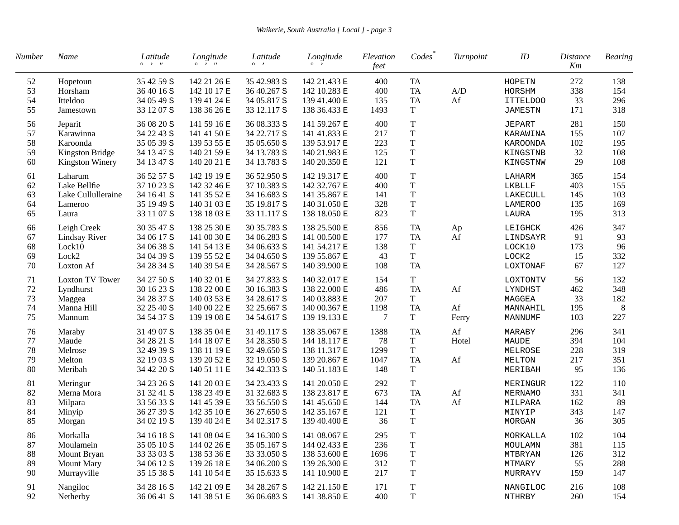| Number | Name                   | Latitude<br>$\circ \quad \cdot \quad n$ | Longitude<br>$0 \rightarrow H$ | Latitude<br>$\circ \quad$ , | Longitude<br>$\circ$ $\cdot$ | Elevation<br>feet | Codes       | Turnpoint                                         | ID       | <b>Distance</b><br>Km | <b>Bearing</b> |
|--------|------------------------|-----------------------------------------|--------------------------------|-----------------------------|------------------------------|-------------------|-------------|---------------------------------------------------|----------|-----------------------|----------------|
| 52     | Hopetoun               | 35 42 59 S                              | 142 21 26 E                    | 35 42.983 S                 | 142 21.433 E                 | 400               | <b>TA</b>   |                                                   | HOPETN   | 272                   | 138            |
| 53     | Horsham                | 36 40 16 S                              | 142 10 17 E                    | 36 40.267 S                 | 142 10.283 E                 | 400               | TA          | $\ensuremath{\mathrm{A}}/\ensuremath{\mathrm{D}}$ | HORSHM   | 338                   | 154            |
| 54     | Itteldoo               | 34 05 49 S                              | 139 41 24 E                    | 34 05.817 S                 | 139 41.400 E                 | 135               | TA          | Af                                                | ITTELDOO | 33                    | 296            |
| 55     | Jamestown              | 33 12 07 S                              | 138 36 26 E                    | 33 12.117 S                 | 138 36.433 E                 | 1493              | T           |                                                   | JAMESTN  | 171                   | 318            |
| 56     | Jeparit                | 36 08 20 S                              | 141 59 16 E                    | 36 08.333 S                 | 141 59.267 E                 | 400               | $\mathbf T$ |                                                   | JEPART   | 281                   | 150            |
| 57     | Karawinna              | 34 22 43 S                              | 141 41 50 E                    | 34 22.717 S                 | 141 41.833 E                 | 217               | $\mathbf T$ |                                                   | KARAWINA | 155                   | 107            |
| 58     | Karoonda               | 35 05 39 S                              | 139 53 55 E                    | 35 05.650 S                 | 139 53.917 E                 | 223               | $\mathbf T$ |                                                   | KAROONDA | 102                   | 195            |
| 59     | Kingston Bridge        | 34 13 47 S                              | 140 21 59 E                    | 34 13.783 S                 | 140 21.983 E                 | 125               | $\mathbf T$ |                                                   | KINGSTNB | 32                    | 108            |
| 60     | <b>Kingston Winery</b> | 34 13 47 S                              | 140 20 21 E                    | 34 13.783 S                 | 140 20.350 E                 | 121               | $\mathbf T$ |                                                   | KINGSTNW | 29                    | 108            |
|        |                        |                                         |                                |                             |                              | 400               |             |                                                   |          | 365                   |                |
| 61     | Laharum                | 36 52 57 S                              | 142 19 19 E                    | 36 52.950 S                 | 142 19.317 E                 |                   | $\mathbf T$ |                                                   | LAHARM   |                       | 154            |
| 62     | Lake Bellfie           | 37 10 23 S                              | 142 32 46 E                    | 37 10.383 S                 | 142 32.767 E                 | 400               | $\mathbf T$ |                                                   | LKBLLF   | 403                   | 155            |
| 63     | Lake Cullulleraine     | 34 16 41 S                              | 141 35 52 E                    | 34 16.683 S                 | 141 35.867 E                 | 141               | $\mathbf T$ |                                                   | LAKECULL | 145                   | 103            |
| 64     | Lameroo                | 35 19 49 S                              | 140 31 03 E                    | 35 19.817 S                 | 140 31.050 E                 | 328               | $\mathbf T$ |                                                   | LAMEROO  | 135                   | 169            |
| 65     | Laura                  | 33 11 07 S                              | 138 18 03 E                    | 33 11.117 S                 | 138 18.050 E                 | 823               | $\mathbf T$ |                                                   | LAURA    | 195                   | 313            |
| 66     | Leigh Creek            | 30 35 47 S                              | 138 25 30 E                    | 30 35.783 S                 | 138 25.500 E                 | 856               | <b>TA</b>   | Ap                                                | LEIGHCK  | 426                   | 347            |
| 67     | <b>Lindsay River</b>   | 34 06 17 S                              | 141 00 30 E                    | 34 06.283 S                 | 141 00.500 E                 | 177               | <b>TA</b>   | Af                                                | LINDSAYR | 91                    | 93             |
| 68     | Lock10                 | 34 06 38 S                              | 141 54 13 E                    | 34 06.633 S                 | 141 54.217 E                 | 138               | $\mathbf T$ |                                                   | LOCK10   | 173                   | 96             |
| 69     | Lock2                  | 34 04 39 S                              | 139 55 52 E                    | 34 04.650 S                 | 139 55.867 E                 | 43                | T           |                                                   | LOCK2    | 15                    | 332            |
| 70     | Loxton Af              | 34 28 34 S                              | 140 39 54 E                    | 34 28.567 S                 | 140 39.900 E                 | 108               | <b>TA</b>   |                                                   | LOXTONAF | 67                    | 127            |
| 71     | <b>Loxton TV Tower</b> | 34 27 50 S                              | 140 32 01 E                    | 34 27.833 S                 | 140 32.017 E                 | 154               | $\mathbf T$ |                                                   | LOXTONTV | 56                    | 132            |
| $72\,$ | Lyndhurst              | 30 16 23 S                              | 138 22 00 E                    | 30 16.383 S                 | 138 22.000 E                 | 486               | <b>TA</b>   | Af                                                | LYNDHST  | 462                   | 348            |
| 73     | Maggea                 | 34 28 37 S                              | 140 03 53 E                    | 34 28.617 S                 | 140 03.883 E                 | 207               | $\mathbf T$ |                                                   | MAGGEA   | 33                    | 182            |
| 74     | Manna Hill             | 32 25 40 S                              | 140 00 22 E                    | 32 25.667 S                 | 140 00.367 E                 | 1198              | TA          | Af                                                | MANNAHIL | 195                   | 8              |
| 75     | Mannum                 | 34 54 37 S                              | 139 19 08 E                    | 34 54.617 S                 | 139 19.133 E                 | 7                 | $\mathbf T$ | Ferry                                             | MANNUMF  | 103                   | 227            |
| 76     | Maraby                 | 31 49 07 S                              | 138 35 04 E                    | 31 49.117 S                 | 138 35.067 E                 | 1388              | <b>TA</b>   | Af                                                | MARABY   | 296                   | 341            |
| 77     | Maude                  | 34 28 21 S                              | 144 18 07 E                    | 34 28.350 S                 | 144 18.117 E                 | 78                | $\mathbf T$ | Hotel                                             | MAUDE    | 394                   | 104            |
| 78     | Melrose                | 32 49 39 S                              | 138 11 19 E                    | 32 49.650 S                 | 138 11.317 E                 | 1299              | $\mathbf T$ |                                                   | MELROSE  | 228                   | 319            |
| 79     | Melton                 | 32 19 03 S                              | 139 20 52 E                    | 32 19.050 S                 | 139 20.867 E                 | 1047              | TA          | Af                                                | MELTON   | 217                   | 351            |
| 80     | Meribah                | 34 42 20 S                              | 140 51 11 E                    | 34 42.333 S                 | 140 51.183 E                 | 148               | $\mathbf T$ |                                                   | MERIBAH  | 95                    | 136            |
|        |                        |                                         |                                |                             |                              |                   |             |                                                   |          |                       |                |
| 81     | Meringur               | 34 23 26 S                              | 141 20 03 E                    | 34 23.433 S                 | 141 20.050 E                 | 292               | $\mathbf T$ |                                                   | MERINGUR | 122                   | 110            |
| 82     | Merna Mora             | 31 32 41 S                              | 138 23 49 E                    | 31 32.683 S                 | 138 23.817 E                 | 673               | <b>TA</b>   | Af                                                | MERNAMO  | 331                   | 341            |
| 83     | Milpara                | 33 56 33 S                              | 141 45 39 E                    | 33 56.550 S                 | 141 45.650 E                 | 144               | <b>TA</b>   | Af                                                | MILPARA  | 162                   | 89             |
| 84     | Minyip                 | 36 27 39 S                              | 142 35 10 E                    | 36 27.650 S                 | 142 35.167 E                 | 121               | $\mathbf T$ |                                                   | MINYIP   | 343                   | 147            |
| 85     | Morgan                 | 34 02 19 S                              | 139 40 24 E                    | 34 02.317 S                 | 139 40.400 E                 | 36                | $\rm T$     |                                                   | MORGAN   | 36                    | 305            |
| 86     | Morkalla               | 34 16 18 S                              | 141 08 04 E                    | 34 16.300 S                 | 141 08.067 E                 | 295               | T           |                                                   | MORKALLA | $102\,$               | 104            |
| 87     | Moulamein              | 35 05 10 S                              | 144 02 26 E                    | 35 05.167 S                 | 144 02.433 E                 | 236               | $\mathbf T$ |                                                   | MOULAMN  | 381                   | 115            |
| 88     | Mount Bryan            | 33 33 03 S                              | 138 53 36 E                    | 33 33.050 S                 | 138 53.600 E                 | 1696              | $\mathbf T$ |                                                   | MTBRYAN  | 126                   | 312            |
| 89     | <b>Mount Mary</b>      | 34 06 12 S                              | 139 26 18 E                    | 34 06.200 S                 | 139 26.300 E                 | 312               | $\mathbf T$ |                                                   | MTMARY   | 55                    | 288            |
| 90     | Murrayville            | 35 15 38 S                              | 141 10 54 E                    | 35 15.633 S                 | 141 10.900 E                 | 217               | $\mathbf T$ |                                                   | MURRAYV  | 159                   | 147            |
| 91     | Nangiloc               | 34 28 16 S                              | 142 21 09 E                    | 34 28.267 S                 | 142 21.150 E                 | 171               | $\mathbf T$ |                                                   | NANGILOC | 216                   | 108            |
| 92     | Netherby               | 36 06 41 S                              | 141 38 51 E                    | 36 06.683 S                 | 141 38.850 E                 | 400               | $\mathbf T$ |                                                   | NTHRBY   | 260                   | 154            |
|        |                        |                                         |                                |                             |                              |                   |             |                                                   |          |                       |                |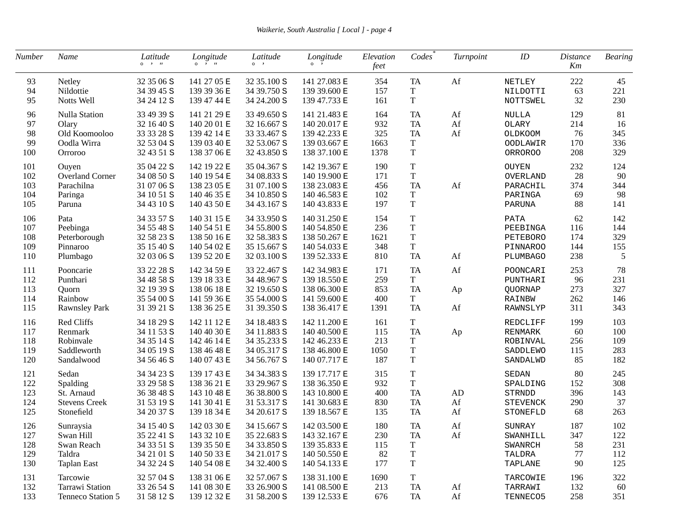| Number | Name                   | Latitude<br>$\circ \quad \cdot \quad n$ | Longitude<br>$0 \rightarrow H$ | Latitude<br>$\circ \quad$ , | Longitude<br>$\circ$ , | Elevation<br>feet | Codes       | Turnpoint                             | ID              | <i>Distance</i><br>Km | <b>Bearing</b> |
|--------|------------------------|-----------------------------------------|--------------------------------|-----------------------------|------------------------|-------------------|-------------|---------------------------------------|-----------------|-----------------------|----------------|
| 93     | Netley                 | 32 35 06 S                              | 141 27 05 E                    | 32 35.100 S                 | 141 27.083 E           | 354               | <b>TA</b>   | Af                                    | NETLEY          | 222                   | 45             |
| 94     | Nildottie              | 34 39 45 S                              | 139 39 36 E                    | 34 39.750 S                 | 139 39.600 E           | 157               | $\rm T$     |                                       | NILDOTTI        | 63                    | 221            |
| 95     | Notts Well             | 34 24 12 S                              | 139 47 44 E                    | 34 24.200 S                 | 139 47.733 E           | 161               | $\mathbf T$ |                                       | NOTTSWEL        | 32                    | 230            |
| 96     | <b>Nulla Station</b>   | 33 49 39 S                              | 141 21 29 E                    | 33 49.650 S                 | 141 21.483 E           | 164               | <b>TA</b>   | Af                                    | NULLA           | 129                   | 81             |
| 97     | Olary                  | 32 16 40 S                              | 140 20 01 E                    | 32 16.667 S                 | 140 20.017 E           | 932               | <b>TA</b>   | Af                                    | <b>OLARY</b>    | 214                   | 16             |
| 98     | Old Koomooloo          | 33 33 28 S                              | 139 42 14 E                    | 33 33.467 S                 | 139 42.233 E           | 325               | <b>TA</b>   | Af                                    | OLDKOOM         | 76                    | 345            |
| 99     | Oodla Wirra            | 32 53 04 S                              | 139 03 40 E                    | 32 53.067 S                 | 139 03.667 E           | 1663              | T           |                                       | OODLAWIR        | 170                   | 336            |
| 100    | Orroroo                | 32 43 51 S                              | 138 37 06 E                    | 32 43.850 S                 | 138 37.100 E           | 1378              | $\mathbf T$ |                                       | <b>ORROROO</b>  | 208                   | 329            |
| 101    | Ouyen                  | 35 04 22 S                              | 142 19 22 E                    | 35 04.367 S                 | 142 19.367 E           | 190               | $\mathbf T$ |                                       | <b>OUYEN</b>    | 232                   | 124            |
| 102    | <b>Overland Corner</b> | 34 08 50 S                              | 140 19 54 E                    | 34 08.833 S                 | 140 19.900 E           | 171               | $\mathbf T$ |                                       | OVERLAND        | 28                    | 90             |
| 103    | Parachilna             | 31 07 06 S                              | 138 23 05 E                    | 31 07.100 S                 | 138 23.083 E           | 456               | <b>TA</b>   | Af                                    | PARACHIL        | 374                   | 344            |
| 104    | Paringa                | 34 10 51 S                              | 140 46 35 E                    | 34 10.850 S                 | 140 46.583 E           | 102               | $\mathbf T$ |                                       | PARINGA         | 69                    | 98             |
| 105    | Paruna                 | 34 43 10 S                              | 140 43 50 E                    | 34 43.167 S                 | 140 43.833 E           | 197               | $\rm T$     |                                       | PARUNA          | 88                    | 141            |
| 106    | Pata                   | 34 33 57 S                              | 140 31 15 E                    | 34 33.950 S                 | 140 31.250 E           | 154               | $\mathbf T$ |                                       | PATA            | 62                    | 142            |
| 107    | Peebinga               | 34 55 48 S                              | 140 54 51 E                    | 34 55.800 S                 | 140 54.850 E           | 236               | $\mathbf T$ |                                       | PEEBINGA        | 116                   | 144            |
| 108    | Peterborough           | 32 58 23 S                              | 138 50 16 E                    | 32 58.383 S                 | 138 50.267 E           | 1621              | $\mathbf T$ |                                       | PETEBORO        | 174                   | 329            |
| 109    | Pinnaroo               | 35 15 40 S                              | 140 54 02 E                    | 35 15.667 S                 | 140 54.033 E           | 348               | $\rm T$     |                                       | <b>PINNAROO</b> | 144                   | 155            |
| 110    | Plumbago               | 32 03 06 S                              | 139 52 20 E                    | 32 03.100 S                 | 139 52.333 E           | 810               | <b>TA</b>   | Af                                    | PLUMBAGO        | 238                   | 5              |
| 111    | Pooncarie              | 33 22 28 S                              | 142 34 59 E                    | 33 22.467 S                 | 142 34.983 E           | 171               | <b>TA</b>   | Af                                    | POONCARI        | 253                   | 78             |
| 112    | Punthari               | 34 48 58 S                              | 139 18 33 E                    | 34 48.967 S                 | 139 18.550 E           | 259               | T           |                                       | PUNTHARI        | 96                    | 231            |
| 113    | Quorn                  | 32 19 39 S                              | 138 06 18 E                    | 32 19.650 S                 | 138 06.300 E           | 853               | <b>TA</b>   | Ap                                    | QUORNAP         | 273                   | 327            |
| 114    | Rainbow                | 35 54 00 S                              | 141 59 36 E                    | 35 54.000 S                 | 141 59.600 E           | 400               | $\mathbf T$ |                                       | RAINBW          | 262                   | 146            |
| 115    | <b>Rawnsley Park</b>   | 31 39 21 S                              | 138 36 25 E                    | 31 39.350 S                 | 138 36.417 E           | 1391              | <b>TA</b>   | Af                                    | RAWNSLYP        | 311                   | 343            |
| 116    | Red Cliffs             | 34 18 29 S                              | 142 11 12 E                    | 34 18.483 S                 | 142 11.200 E           | 161               | T           |                                       | REDCLIFF        | 199                   | 103            |
| 117    | Renmark                | 34 11 53 S                              | 140 40 30 E                    | 34 11.883 S                 | 140 40.500 E           | 115               | <b>TA</b>   | Ap                                    | RENMARK         | 60                    | 100            |
| 118    | Robinvale              | 34 35 14 S                              | 142 46 14 E                    | 34 35.233 S                 | 142 46.233 E           | 213               | T           |                                       | ROBINVAL        | 256                   | 109            |
| 119    | Saddleworth            | 34 05 19 S                              | 138 46 48 E                    | 34 05.317 S                 | 138 46.800 E           | 1050              | $\mathbf T$ |                                       | SADDLEWO        | 115                   | 283            |
| 120    | Sandalwood             | 34 56 46 S                              | 140 07 43 E                    | 34 56.767 S                 | 140 07.717 E           | 187               | $\rm T$     |                                       | SANDALWD        | 85                    | 182            |
| 121    | Sedan                  | 34 34 23 S                              | 139 17 43 E                    | 34 34.383 S                 | 139 17.717 E           | 315               | $\mathbf T$ |                                       | SEDAN           | 80                    | 245            |
| 122    | Spalding               | 33 29 58 S                              | 138 36 21 E                    | 33 29.967 S                 | 138 36.350 E           | 932               | $\mathbf T$ |                                       | SPALDING        | 152                   | 308            |
| 123    | St. Arnaud             | 36 38 48 S                              | 143 10 48 E                    | 36 38.800 S                 | 143 10.800 E           | 400               | <b>TA</b>   | AD                                    | STRNDD          | 396                   | 143            |
| 124    | <b>Stevens Creek</b>   | 31 53 19 S                              | 141 30 41 E                    | 31 53.317 S                 | 141 30.683 E           | 830               | ${\rm TA}$  | Af                                    | <b>STEVENCK</b> | 290                   | 37             |
| 125    | Stonefield             | 34 20 37 S                              | 139 18 34 E                    | 34 20.617 S                 | 139 18.567 E           | 135               | <b>TA</b>   | Af                                    | STONEFLD        | 68                    | 263            |
| 126    | Sunraysia              | 34 15 40 S                              | 142 03 30 E                    | 34 15.667 S                 | 142 03.500 E           | 180               | <b>TA</b>   | Af                                    | SUNRAY          | 187                   | 102            |
| 127    | Swan Hill              | 35 22 41 S                              | 143 32 10 E                    | 35 22.683 S                 | 143 32.167 E           | 230               | TA          | Af                                    | SWANHILL        | 347                   | 122            |
| 128    | Swan Reach             | 34 33 51 S                              | 139 35 50 E                    | 34 33.850 S                 | 139 35.833 E           | 115               | $\mathbf T$ |                                       | SWANRCH         | 58                    | 231            |
| 129    | Taldra                 | 34 21 01 S                              | 140 50 33 E                    | 34 21.017 S                 | 140 50.550 E           | 82                | $\mathbf T$ |                                       | TALDRA          | 77                    | 112            |
| 130    | <b>Taplan East</b>     | 34 32 24 S                              | 140 54 08 E                    | 34 32.400 S                 | 140 54.133 E           | 177               | $\mathbf T$ |                                       | TAPLANE         | 90                    | 125            |
| 131    | Tarcowie               | 32 57 04 S                              | 138 31 06 E                    | 32 57.067 S                 | 138 31.100 E           | 1690              | $\mathbf T$ |                                       | TARCOWIE        | 196                   | 322            |
| 132    | Tarrawi Station        | 33 26 54 S                              | 141 08 30 E                    | 33 26.900 S                 | 141 08.500 E           | 213               | TA          | Af                                    | TARRAWI         | 132                   | 60             |
| 133    | Tenneco Station 5      | 31 58 12 S                              | 139 12 32 E                    | 31 58.200 S                 | 139 12.533 E           | 676               | TA          | $\mathop{\operatorname{Af}}\nolimits$ | TENNECO5        | 258                   | 351            |